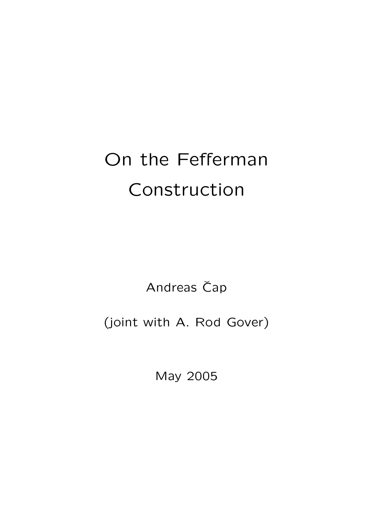## On the Fefferman Construction

Andreas Čap

(joint with A. Rod Gover)

May 2005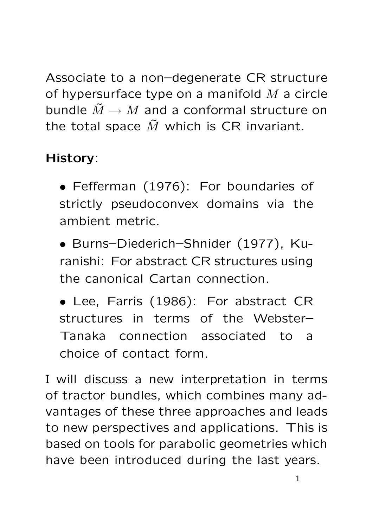Associate to a non–degenerate CR structure of hypersurface type on a manifold  $M$  a circle bundle  $\tilde{M} \to M$  and a conformal structure on the total space  $\tilde{M}$  which is CR invariant.

## History:

• Fefferman (1976): For boundaries of strictly pseudoconvex domains via the ambient metric.

• Burns–Diederich–Shnider (1977), Kuranishi: For abstract CR structures using the canonical Cartan connection.

• Lee, Farris (1986): For abstract CR structures in terms of the Webster– Tanaka connection associated to a choice of contact form.

I will discuss a new interpretation in terms of tractor bundles, which combines many advantages of these three approaches and leads to new perspectives and applications. This is based on tools for parabolic geometries which have been introduced during the last years.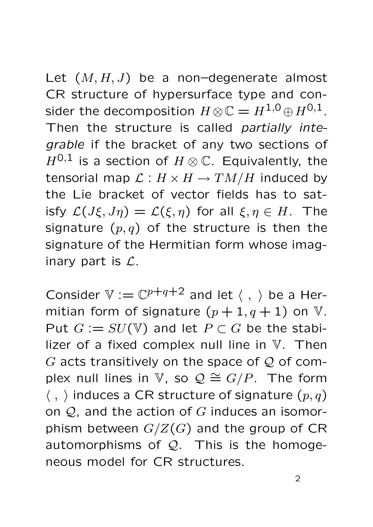Let  $(M, H, J)$  be a non-degenerate almost CR structure of hypersurface type and consider the decomposition  $H \otimes \mathbb{C} = H^{1,0} \oplus H^{0,1}$ . Then the structure is called partially integrable if the bracket of any two sections of  $H^{0,1}$  is a section of  $H\otimes\mathbb{C}$ . Equivalently, the tensorial map  $\mathcal{L}: H \times H \to TM/H$  induced by the Lie bracket of vector fields has to satisfy  $\mathcal{L}(J\xi, J\eta) = \mathcal{L}(\xi, \eta)$  for all  $\xi, \eta \in H$ . The signature  $(p, q)$  of the structure is then the signature of the Hermitian form whose imaginary part is  $\mathcal{L}$ .

Consider  $V := \mathbb{C}^{p+q+2}$  and let  $\langle , \rangle$  be a Hermitian form of signature  $(p+1, q+1)$  on V. Put  $G := SU(V)$  and let  $P \subset G$  be the stabilizer of a fixed complex null line in V. Then G acts transitively on the space of  $Q$  of complex null lines in V, so  $\mathcal{Q} \cong G/P$ . The form  $\langle , \rangle$  induces a CR structure of signature  $(p, q)$ on  $Q$ , and the action of  $G$  induces an isomorphism between  $G/Z(G)$  and the group of CR automorphisms of  $Q$ . This is the homogeneous model for CR structures.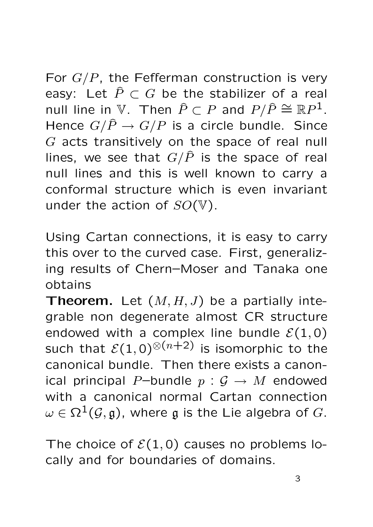For  $G/P$ , the Fefferman construction is very easy: Let  $\hat{P} \subset G$  be the stabilizer of a real null line in  $\mathbb{V}$ . Then  $\widehat{P} \subset P$  and  $P/\widehat{P} \cong \mathbb{R}P^1$ . Hence  $G/\hat{P} \rightarrow G/P$  is a circle bundle. Since G acts transitively on the space of real null lines, we see that  $G/\hat{P}$  is the space of real null lines and this is well known to carry a conformal structure which is even invariant under the action of  $SO(V)$ .

Using Cartan connections, it is easy to carry this over to the curved case. First, generalizing results of Chern–Moser and Tanaka one obtains

**Theorem.** Let  $(M, H, J)$  be a partially integrable non degenerate almost CR structure endowed with a complex line bundle  $\mathcal{E}(1,0)$ such that  $\mathcal{E}(1,0)^{\otimes (n+2)}$  is isomorphic to the canonical bundle. Then there exists a canonical principal P–bundle  $p : G \rightarrow M$  endowed with a canonical normal Cartan connection  $\omega \in \Omega^1(\mathcal{G}, \mathfrak{g})$ , where g is the Lie algebra of G.

The choice of  $\mathcal{E}(1,0)$  causes no problems locally and for boundaries of domains.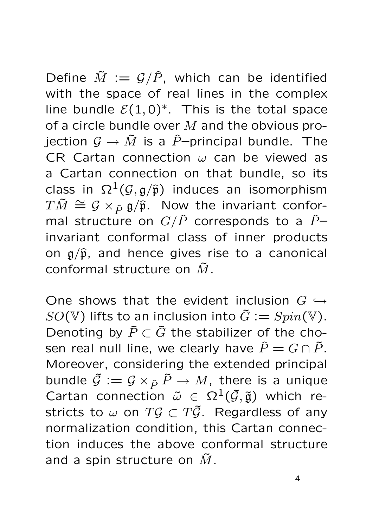Define  $\tilde{M} := \mathcal{G}/\hat{P}$ , which can be identified with the space of real lines in the complex line bundle  $\mathcal{E}(1,0)^*$ . This is the total space of a circle bundle over  $M$  and the obvious projection  $\mathcal{G} \to \tilde{M}$  is a  $\tilde{P}$ -principal bundle. The CR Cartan connection  $\omega$  can be viewed as a Cartan connection on that bundle, so its class in  $\Omega^1(\mathcal{G}, \mathfrak{g}/\widehat{\mathfrak{p}})$  induces an isomorphism  $T\tilde{M} \cong \mathcal{G} \times_{\hat{P}} \tilde{\mathfrak{g}}/\hat{\mathfrak{p}}$ . Now the invariant conformal structure on  $G/\hat{P}$  corresponds to a  $\hat{P}$ invariant conformal class of inner products on  $g/\hat{p}$ , and hence gives rise to a canonical conformal structure on  $\tilde{M}$ .

One shows that the evident inclusion  $G \hookrightarrow$  $SO(V)$  lifts to an inclusion into  $\tilde{G} := Spin(V)$ . Denoting by  $\tilde{P} \subset \tilde{G}$  the stabilizer of the chosen real null line, we clearly have  $\hat{P} = G \cap \tilde{P}$ . Moreover, considering the extended principal bundle  $\tilde{\mathcal{G}} := \mathcal{G} \times_{\tilde{P}} \tilde{P} \to M$ , there is a unique Cartan connection  $\tilde{\omega} \in \Omega^1(\tilde{\mathcal{G}}, \tilde{\mathfrak{g}})$  which restricts to  $\omega$  on  $T\mathcal{G} \subset T\tilde{\mathcal{G}}$ . Regardless of any normalization condition, this Cartan connection induces the above conformal structure and a spin structure on  $\tilde{M}$ .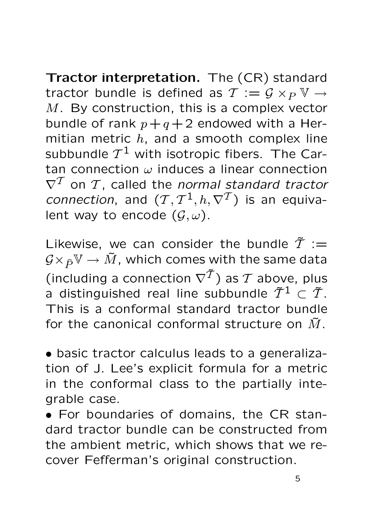Tractor interpretation. The (CR) standard tractor bundle is defined as  $\mathcal{T} := \mathcal{G} \times_{P} \mathbb{V} \rightarrow$  $M$ . By construction, this is a complex vector bundle of rank  $p+q+2$  endowed with a Hermitian metric  $h$ , and a smooth complex line subbundle  $\mathcal{T}^1$  with isotropic fibers. The Cartan connection  $\omega$  induces a linear connection  $\nabla^T$  on  $T$ , called the normal standard tractor connection, and  $(T, T^1, h, \nabla^T)$  is an equivalent way to encode  $(\mathcal{G}, \omega)$ .

Likewise, we can consider the bundle  $\tilde{T} :=$  $\mathcal{G}\times_{\widehat{P}} V \to \widetilde{M}$ , which comes with the same data (including a connection  $\nabla^{\widetilde{\mathcal{T}}}$ ) as  $\mathcal T$  above, plus a distinguished real line subbundle  $\tilde{T}^1 \subset \tilde{T}$ . This is a conformal standard tractor bundle for the canonical conformal structure on  $\tilde{M}$ .

• basic tractor calculus leads to a generalization of J. Lee's explicit formula for a metric in the conformal class to the partially integrable case.

• For boundaries of domains, the CR standard tractor bundle can be constructed from the ambient metric, which shows that we recover Fefferman's original construction.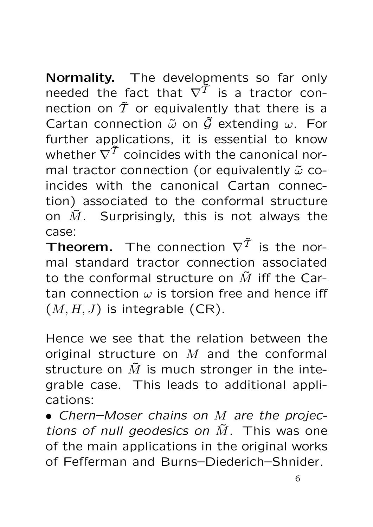Normality. The developments so far only needed the fact that  $\nabla^{\tilde{\mathcal{T}}}$  is a tractor connection on  $\tilde{T}$  or equivalently that there is a Cartan connection  $\tilde{\omega}$  on  $\tilde{\mathcal{G}}$  extending  $\omega$ . For further applications, it is essential to know whether  $\nabla^{\widetilde{\mathcal{T}}}$  coincides with the canonical normal tractor connection (or equivalently  $\tilde{\omega}$  coincides with the canonical Cartan connection) associated to the conformal structure on  $\tilde{M}$ . Surprisingly, this is not always the case:

Theorem. The connection  $\nabla^{\widetilde{\mathcal{T}}}$  is the normal standard tractor connection associated to the conformal structure on  $\tilde{M}$  iff the Cartan connection  $\omega$  is torsion free and hence iff  $(M, H, J)$  is integrable  $(CR)$ .

Hence we see that the relation between the original structure on  $M$  and the conformal structure on  $\tilde{M}$  is much stronger in the integrable case. This leads to additional applications:

• Chern–Moser chains on M are the projections of null geodesics on  $\tilde{M}$ . This was one of the main applications in the original works of Fefferman and Burns–Diederich–Shnider.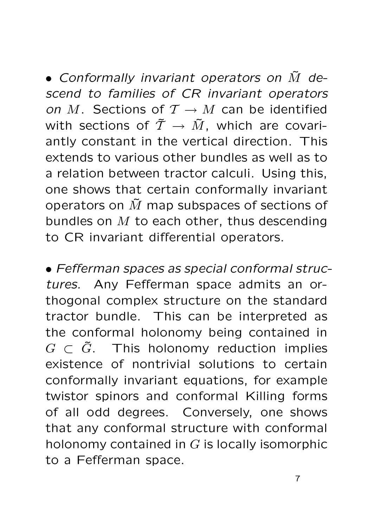• Conformally invariant operators on  $\tilde{M}$  descend to families of CR invariant operators on M. Sections of  $\mathcal{T} \to M$  can be identified with sections of  $\tilde{T} \rightarrow \tilde{M}$ , which are covariantly constant in the vertical direction. This extends to various other bundles as well as to a relation between tractor calculi. Using this, one shows that certain conformally invariant operators on  $\tilde{M}$  map subspaces of sections of bundles on  $M$  to each other, thus descending to CR invariant differential operators.

• Fefferman spaces as special conformal structures. Any Fefferman space admits an orthogonal complex structure on the standard tractor bundle. This can be interpreted as the conformal holonomy being contained in  $G \subset \tilde{G}$ . This holonomy reduction implies existence of nontrivial solutions to certain conformally invariant equations, for example twistor spinors and conformal Killing forms of all odd degrees. Conversely, one shows that any conformal structure with conformal holonomy contained in  $G$  is locally isomorphic to a Fefferman space.